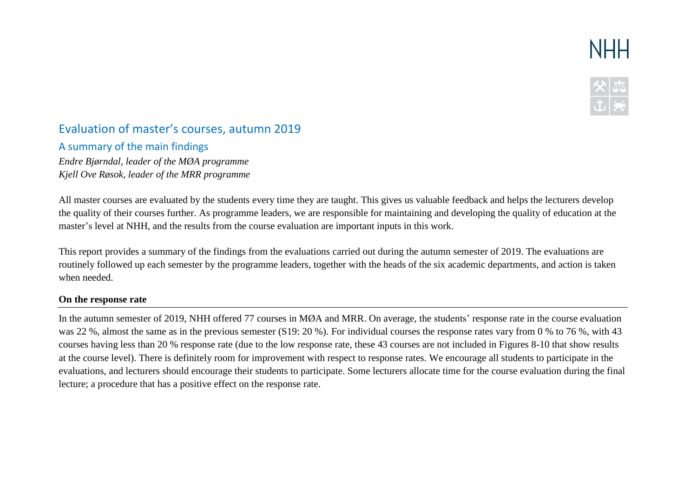# **NHH**



## Evaluation of master's courses, autumn 2019

A summary of the main findings

*Endre Bjørndal, leader of the MØA programme Kjell Ove Røsok, leader of the MRR programme*

All master courses are evaluated by the students every time they are taught. This gives us valuable feedback and helps the lecturers develop the quality of their courses further. As programme leaders, we are responsible for maintaining and developing the quality of education at the master's level at NHH, and the results from the course evaluation are important inputs in this work.

This report provides a summary of the findings from the evaluations carried out during the autumn semester of 2019. The evaluations are routinely followed up each semester by the programme leaders, together with the heads of the six academic departments, and action is taken when needed.

#### **On the response rate**

In the autumn semester of 2019, NHH offered 77 courses in MØA and MRR. On average, the students' response rate in the course evaluation was 22 %, almost the same as in the previous semester (S19: 20 %). For individual courses the response rates vary from 0 % to 76 %, with 43 courses having less than 20 % response rate (due to the low response rate, these 43 courses are not included in Figures 8-10 that show results at the course level). There is definitely room for improvement with respect to response rates. We encourage all students to participate in the evaluations, and lecturers should encourage their students to participate. Some lecturers allocate time for the course evaluation during the final lecture; a procedure that has a positive effect on the response rate.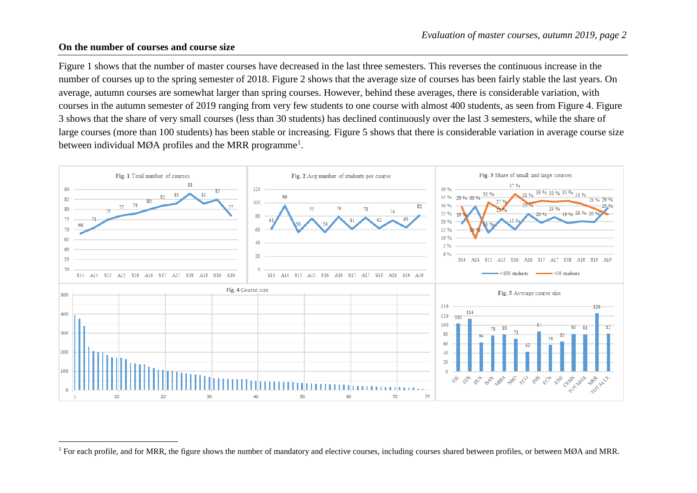#### **On the number of courses and course size**

 $\overline{a}$ 

Figure 1 shows that the number of master courses have decreased in the last three semesters. This reverses the continuous increase in the number of courses up to the spring semester of 2018. Figure 2 shows that the average size of courses has been fairly stable the last years. On average, autumn courses are somewhat larger than spring courses. However, behind these averages, there is considerable variation, with courses in the autumn semester of 2019 ranging from very few students to one course with almost 400 students, as seen from Figure 4. Figure 3 shows that the share of very small courses (less than 30 students) has declined continuously over the last 3 semesters, while the share of large courses (more than 100 students) has been stable or increasing. Figure 5 shows that there is considerable variation in average course size between individual MØA profiles and the MRR programme<sup>1</sup>.



<sup>&</sup>lt;sup>1</sup> For each profile, and for MRR, the figure shows the number of mandatory and elective courses, including courses shared between profiles, or between MØA and MRR.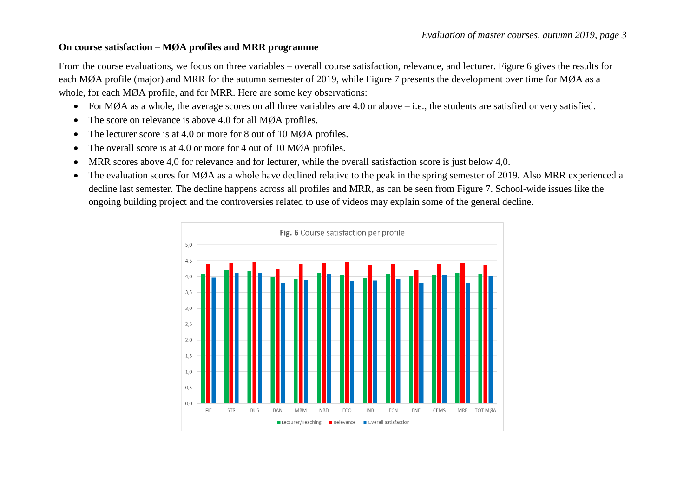#### **On course satisfaction – MØA profiles and MRR programme**

From the course evaluations, we focus on three variables – overall course satisfaction, relevance, and lecturer. Figure 6 gives the results for each MØA profile (major) and MRR for the autumn semester of 2019, while Figure 7 presents the development over time for MØA as a whole, for each MØA profile, and for MRR. Here are some key observations:

- For MØA as a whole, the average scores on all three variables are 4.0 or above i.e., the students are satisfied or very satisfied.
- The score on relevance is above 4.0 for all MØA profiles.
- The lecturer score is at 4.0 or more for 8 out of 10 MØA profiles.
- The overall score is at 4.0 or more for 4 out of 10 MØA profiles.
- MRR scores above 4,0 for relevance and for lecturer, while the overall satisfaction score is just below 4,0.
- The evaluation scores for MØA as a whole have declined relative to the peak in the spring semester of 2019. Also MRR experienced a decline last semester. The decline happens across all profiles and MRR, as can be seen from Figure 7. School-wide issues like the ongoing building project and the controversies related to use of videos may explain some of the general decline.

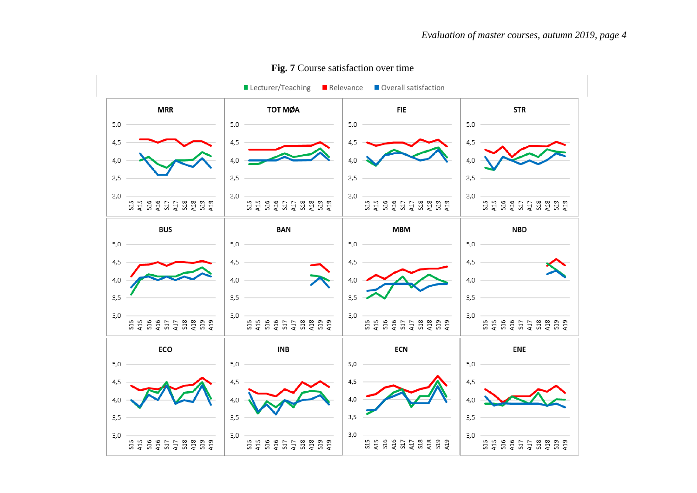

### **Fig. 7** Course satisfaction over time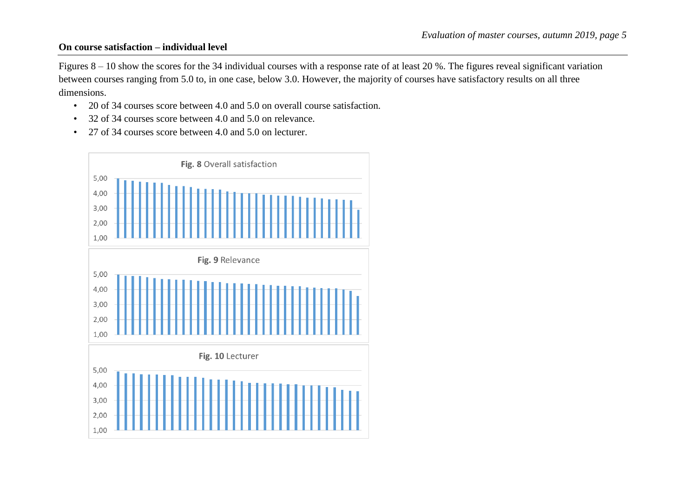#### **On course satisfaction – individual level**

Figures 8 – 10 show the scores for the 34 individual courses with a response rate of at least 20 %. The figures reveal significant variation between courses ranging from 5.0 to, in one case, below 3.0. However, the majority of courses have satisfactory results on all three dimensions.

- 20 of 34 courses score between 4.0 and 5.0 on overall course satisfaction.
- 32 of 34 courses score between 4.0 and 5.0 on relevance.
- 27 of 34 courses score between 4.0 and 5.0 on lecturer.